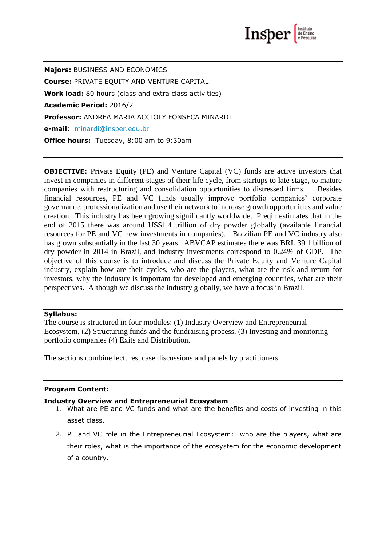

**Majors:** BUSINESS AND ECONOMICS **Course:** PRIVATE EQUITY AND VENTURE CAPITAL **Work load:** 80 hours (class and extra class activities) **Academic Period:** 2016/2 **Professor:** ANDREA MARIA ACCIOLY FONSECA MINARDI **e-mail**: [minardi@insper.edu.br](mailto:minardi@insper.edu.br) **Office hours:** Tuesday, 8:00 am to 9:30am

**OBJECTIVE:** Private Equity (PE) and Venture Capital (VC) funds are active investors that invest in companies in different stages of their life cycle, from startups to late stage, to mature companies with restructuring and consolidation opportunities to distressed firms. Besides financial resources, PE and VC funds usually improve portfolio companies' corporate governance, professionalization and use their network to increase growth opportunities and value creation. This industry has been growing significantly worldwide. Preqin estimates that in the end of 2015 there was around US\$1.4 trillion of dry powder globally (available financial resources for PE and VC new investments in companies). Brazilian PE and VC industry also has grown substantially in the last 30 years. ABVCAP estimates there was BRL 39.1 billion of dry powder in 2014 in Brazil, and industry investments correspond to 0.24% of GDP. The objective of this course is to introduce and discuss the Private Equity and Venture Capital industry, explain how are their cycles, who are the players, what are the risk and return for investors, why the industry is important for developed and emerging countries, what are their perspectives. Although we discuss the industry globally, we have a focus in Brazil.

#### **Syllabus:**

The course is structured in four modules: (1) Industry Overview and Entrepreneurial Ecosystem, (2) Structuring funds and the fundraising process, (3) Investing and monitoring portfolio companies (4) Exits and Distribution.

The sections combine lectures, case discussions and panels by practitioners.

#### **Program Content:**

#### **Industry Overview and Entrepreneurial Ecosystem**

- 1. What are PE and VC funds and what are the benefits and costs of investing in this asset class.
- 2. PE and VC role in the Entrepreneurial Ecosystem: who are the players, what are their roles, what is the importance of the ecosystem for the economic development of a country.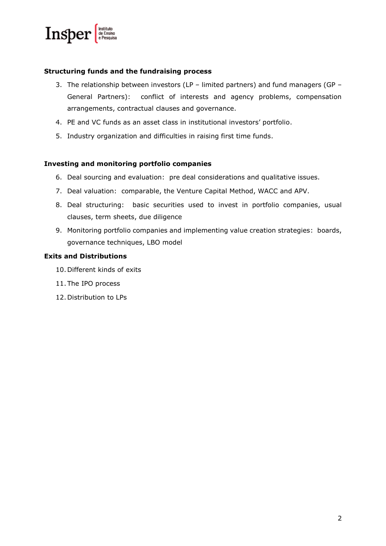

## **Structuring funds and the fundraising process**

- 3. The relationship between investors (LP limited partners) and fund managers (GP General Partners): conflict of interests and agency problems, compensation arrangements, contractual clauses and governance.
- 4. PE and VC funds as an asset class in institutional investors' portfolio.
- 5. Industry organization and difficulties in raising first time funds.

## **Investing and monitoring portfolio companies**

- 6. Deal sourcing and evaluation: pre deal considerations and qualitative issues.
- 7. Deal valuation: comparable, the Venture Capital Method, WACC and APV.
- 8. Deal structuring: basic securities used to invest in portfolio companies, usual clauses, term sheets, due diligence
- 9. Monitoring portfolio companies and implementing value creation strategies: boards, governance techniques, LBO model

## **Exits and Distributions**

- 10.Different kinds of exits
- 11.The IPO process
- 12.Distribution to LPs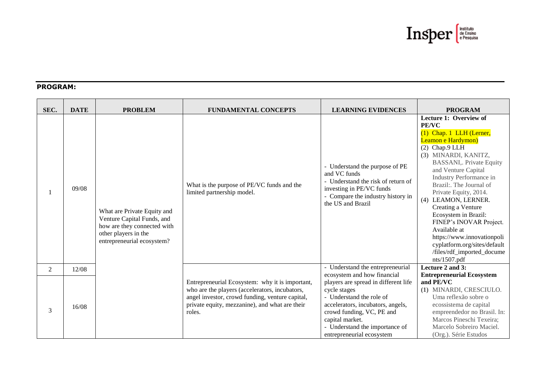

# **PROGRAM:**

| SEC. | <b>DATE</b> | <b>PROBLEM</b>                                                                                                                                 | <b>FUNDAMENTAL CONCEPTS</b>                                                                                                                                                                                      | <b>LEARNING EVIDENCES</b>                                                                                                                                                                                                                                           | <b>PROGRAM</b>                                                                                                                                                                                                                                                                                                                                                                                                                                                                                            |
|------|-------------|------------------------------------------------------------------------------------------------------------------------------------------------|------------------------------------------------------------------------------------------------------------------------------------------------------------------------------------------------------------------|---------------------------------------------------------------------------------------------------------------------------------------------------------------------------------------------------------------------------------------------------------------------|-----------------------------------------------------------------------------------------------------------------------------------------------------------------------------------------------------------------------------------------------------------------------------------------------------------------------------------------------------------------------------------------------------------------------------------------------------------------------------------------------------------|
|      | 09/08       | What are Private Equity and<br>Venture Capital Funds, and<br>how are they connected with<br>other players in the<br>entrepreneurial ecosystem? | What is the purpose of PE/VC funds and the<br>limited partnership model.                                                                                                                                         | - Understand the purpose of PE<br>and VC funds<br>- Understand the risk of return of<br>investing in PE/VC funds<br>Compare the industry history in<br>the US and Brazil                                                                                            | Lecture 1: Overview of<br><b>PE/VC</b><br>(1) Chap. 1 LLH (Lerner,<br>Leamon e Hardymon)<br>$(2)$ Chap.9 LLH<br>(3) MINARDI, KANITZ,<br><b>BASSANI,. Private Equity</b><br>and Venture Capital<br>Industry Performance in<br>Brazil:. The Journal of<br>Private Equity, 2014.<br>(4) LEAMON, LERNER.<br>Creating a Venture<br>Ecosystem in Brazil:<br>FINEP's INOVAR Project.<br>Available at<br>https://www.innovationpoli<br>cyplatform.org/sites/default<br>/files/rdf_imported_docume<br>nts/1507.pdf |
| 2    | 12/08       |                                                                                                                                                |                                                                                                                                                                                                                  | - Understand the entrepreneurial                                                                                                                                                                                                                                    | Lecture 2 and 3:                                                                                                                                                                                                                                                                                                                                                                                                                                                                                          |
| 3    | 16/08       |                                                                                                                                                | Entrepreneurial Ecosystem: why it is important,<br>who are the players (accelerators, incubators,<br>angel investor, crowd funding, venture capital,<br>private equity, mezzanine), and what are their<br>roles. | ecosystem and how financial<br>players are spread in different life<br>cycle stages<br>- Understand the role of<br>accelerators, incubators, angels,<br>crowd funding, VC, PE and<br>capital market.<br>- Understand the importance of<br>entrepreneurial ecosystem | <b>Entrepreneurial Ecosystem</b><br>and PE/VC<br>(1) MINARDI, CRESCIULO.<br>Uma reflexão sobre o<br>ecossistema de capital<br>empreendedor no Brasil. In:<br>Marcos Pineschi Texeira;<br>Marcelo Sobreiro Maciel.<br>(Org.). Série Estudos                                                                                                                                                                                                                                                                |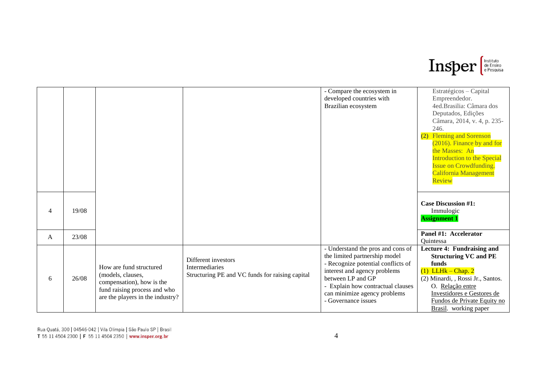

|                |       |                                                |                                                 | - Compare the ecosystem in         | Estratégicos - Capital             |
|----------------|-------|------------------------------------------------|-------------------------------------------------|------------------------------------|------------------------------------|
|                |       |                                                |                                                 | developed countries with           | Empreendedor.                      |
|                |       |                                                |                                                 | Brazilian ecosystem                | 4ed.Brasilia: Câmara dos           |
|                |       |                                                |                                                 |                                    | Deputados, Edições                 |
|                |       |                                                |                                                 |                                    | Câmara, 2014, v. 4, p. 235-        |
|                |       |                                                |                                                 |                                    | 246.                               |
|                |       |                                                |                                                 |                                    | (2) Fleming and Sorenson           |
|                |       |                                                |                                                 |                                    | (2016). Finance by and for         |
|                |       |                                                |                                                 |                                    | the Masses: An                     |
|                |       |                                                |                                                 |                                    | <b>Introduction to the Special</b> |
|                |       |                                                |                                                 |                                    | <b>Issue on Crowdfunding.</b>      |
|                |       |                                                |                                                 |                                    | California Management              |
|                |       |                                                |                                                 |                                    | Review                             |
|                |       |                                                |                                                 |                                    |                                    |
|                |       |                                                |                                                 |                                    |                                    |
|                |       |                                                |                                                 |                                    | <b>Case Discussion #1:</b>         |
| $\overline{4}$ | 19/08 |                                                |                                                 |                                    |                                    |
|                |       |                                                |                                                 |                                    | Immulogic                          |
|                |       |                                                |                                                 |                                    | <b>Assignment 1</b>                |
|                |       |                                                |                                                 |                                    | Panel #1: Accelerator              |
| A              | 23/08 |                                                |                                                 |                                    | Quintessa                          |
|                |       |                                                |                                                 |                                    |                                    |
|                |       |                                                |                                                 | - Understand the pros and cons of  | Lecture 4: Fundraising and         |
|                |       |                                                | Different investors                             | the limited partnership model      | <b>Structuring VC and PE</b>       |
|                |       | How are fund structured                        | <b>Intermediaries</b>                           | - Recognize potential conflicts of | funds                              |
|                | 26/08 | (models, clauses,<br>compensation), how is the | Structuring PE and VC funds for raising capital | interest and agency problems       | $(1)$ LLHk – Chap. 2               |
| 6              |       |                                                |                                                 | between LP and GP                  | (2) Minardi, , Rossi Jr., Santos.  |
|                |       | fund raising process and who                   |                                                 | - Explain how contractual clauses  | O. Relação entre                   |
|                |       | are the players in the industry?               |                                                 | can minimize agency problems       | Investidores e Gestores de         |
|                |       |                                                |                                                 | - Governance issues                | Fundos de Private Equity no        |
|                |       |                                                |                                                 |                                    | Brasil. working paper              |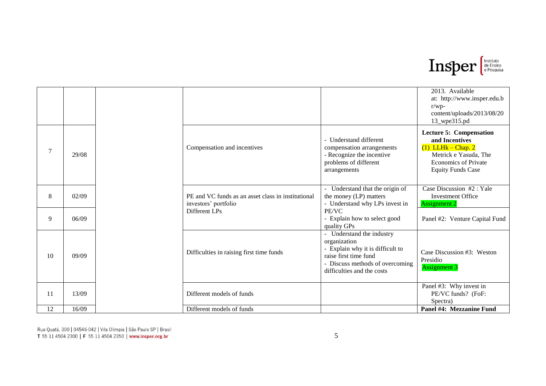

|    |       |  |                                                                            |                                                                                                                                                                         | 2013. Available<br>at: http://www.insper.edu.b<br>$r/wp-$<br>content/uploads/2013/08/20<br>13_wpe315.pd                                                      |
|----|-------|--|----------------------------------------------------------------------------|-------------------------------------------------------------------------------------------------------------------------------------------------------------------------|--------------------------------------------------------------------------------------------------------------------------------------------------------------|
| 7  | 29/08 |  | Compensation and incentives                                                | - Understand different<br>compensation arrangements<br>- Recognize the incentive<br>problems of different<br>arrangements                                               | <b>Lecture 5: Compensation</b><br>and Incentives<br>$(1)$ LLHk – Chap. 2<br>Metrick e Yasuda, The<br><b>Economics of Private</b><br><b>Equity Funds Case</b> |
| 8  | 02/09 |  | PE and VC funds as an asset class in institutional<br>investors' portfolio | - Understand that the origin of<br>the money (LP) matters<br>- Understand why LPs invest in                                                                             | Case Discussion #2 : Yale<br><b>Investment Office</b><br><b>Assignment 2</b>                                                                                 |
| 9  | 06/09 |  | Different LPs                                                              | PE/VC<br>- Explain how to select good<br>quality GPs                                                                                                                    | Panel #2: Venture Capital Fund                                                                                                                               |
| 10 | 09/09 |  | Difficulties in raising first time funds                                   | - Understand the industry<br>organization<br>- Explain why it is difficult to<br>raise first time fund<br>- Discuss methods of overcoming<br>difficulties and the costs | Case Discussion #3: Weston<br>Presidio<br><b>Assignment 3</b>                                                                                                |
| 11 | 13/09 |  | Different models of funds                                                  |                                                                                                                                                                         | Panel #3: Why invest in<br>PE/VC funds? (FoF:<br>Spectra)                                                                                                    |
| 12 | 16/09 |  | Different models of funds                                                  |                                                                                                                                                                         | Panel #4: Mezzanine Fund                                                                                                                                     |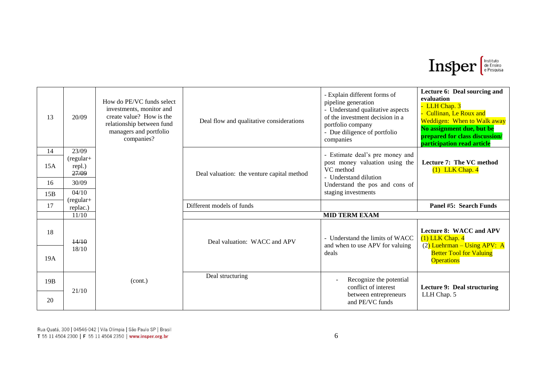

| 13        | 20/09                   | How do PE/VC funds select<br>investments, monitor and<br>create value? How is the<br>relationship between fund<br>managers and portfolio<br>companies? | Deal flow and qualitative considerations   | - Explain different forms of<br>pipeline generation<br>- Understand qualitative aspects<br>of the investment decision in a<br>portfolio company<br>- Due diligence of portfolio<br>companies | Lecture 6: Deal sourcing and<br>evaluation<br>- LLH Chap. 3<br>- Cullinan, Le Roux and<br>Weddigen: When to Walk away<br>No assignment due, but be<br>prepared for class discussion/<br>participation read article |
|-----------|-------------------------|--------------------------------------------------------------------------------------------------------------------------------------------------------|--------------------------------------------|----------------------------------------------------------------------------------------------------------------------------------------------------------------------------------------------|--------------------------------------------------------------------------------------------------------------------------------------------------------------------------------------------------------------------|
| 14        | 23/09<br>(regular+      |                                                                                                                                                        |                                            | - Estimate deal's pre money and                                                                                                                                                              |                                                                                                                                                                                                                    |
| 15A       | repl.)                  |                                                                                                                                                        |                                            | post money valuation using the<br>VC method                                                                                                                                                  | Lecture 7: The VC method<br>$(1)$ LLK Chap. 4                                                                                                                                                                      |
| 16        | 27/09<br>30/09          |                                                                                                                                                        | Deal valuation: the venture capital method | - Understand dilution                                                                                                                                                                        |                                                                                                                                                                                                                    |
| 15B       | 04/10                   |                                                                                                                                                        |                                            | Understand the pos and cons of<br>staging investments                                                                                                                                        |                                                                                                                                                                                                                    |
| 17        | $(regular+$<br>replac.) |                                                                                                                                                        | Different models of funds                  |                                                                                                                                                                                              | Panel #5: Search Funds                                                                                                                                                                                             |
|           | 11/10                   |                                                                                                                                                        |                                            | <b>MID TERM EXAM</b>                                                                                                                                                                         |                                                                                                                                                                                                                    |
|           |                         |                                                                                                                                                        |                                            |                                                                                                                                                                                              |                                                                                                                                                                                                                    |
| 18<br>19A | 14/10<br>18/10          |                                                                                                                                                        | Deal valuation: WACC and APV               | - Understand the limits of WACC<br>and when to use APV for valuing<br>deals                                                                                                                  | <b>Lecture 8: WACC and APV</b><br>$(1)$ LLK Chap. $4$<br>$(2)$ Luehrman – Using APV: A<br><b>Better Tool for Valuing</b><br><b>Operations</b>                                                                      |
|           |                         |                                                                                                                                                        |                                            |                                                                                                                                                                                              |                                                                                                                                                                                                                    |
| 19B       | 21/10                   | (cont.)                                                                                                                                                | Deal structuring                           | Recognize the potential<br>conflict of interest                                                                                                                                              | Lecture 9: Deal structuring                                                                                                                                                                                        |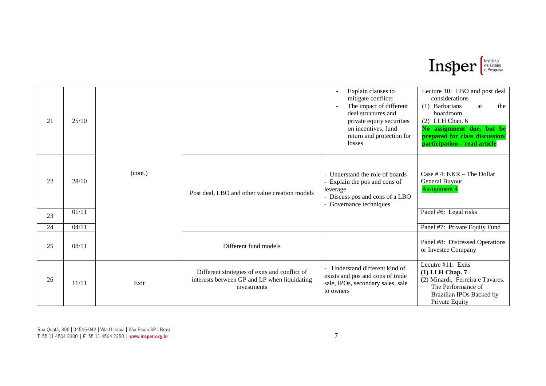

| 21 | 25/10 |         |                                                                                                              | Explain clauses to<br>$\overline{a}$<br>mitigate conflicts<br>The impact of different<br>deal structures and<br>private equity securities<br>on incentives, fund<br>return and protection for<br>losses | Lecture 10: LBO and post deal<br>considerations<br>(1) Barbarians<br>the<br>at<br>boardroom<br>$(2)$ LLH Chap. 6<br>No assignment due, but be<br>prepared for class discussion/<br>participation - read article |
|----|-------|---------|--------------------------------------------------------------------------------------------------------------|---------------------------------------------------------------------------------------------------------------------------------------------------------------------------------------------------------|-----------------------------------------------------------------------------------------------------------------------------------------------------------------------------------------------------------------|
| 22 | 28/10 | (cont.) | Post deal, LBO and other value creation models                                                               | - Understand the role of boards<br>- Explain the pos and cons of<br>leverage<br>- Discuss pos and cons of a LBO<br>- Governance techniques                                                              | Case $# 4$ : KKR – The Dollar<br>General Buyout<br><b>Assignment 4</b>                                                                                                                                          |
| 23 | 01/11 |         |                                                                                                              |                                                                                                                                                                                                         | Panel #6: Legal risks                                                                                                                                                                                           |
| 24 | 04/11 |         |                                                                                                              |                                                                                                                                                                                                         | Panel #7: Private Equity Fund                                                                                                                                                                                   |
| 25 | 08/11 |         | Different fund models                                                                                        |                                                                                                                                                                                                         | Panel #8: Distressed Operations<br>or Investee Company                                                                                                                                                          |
| 26 | 11/11 | Exit    | Different strategies of exits and conflict of<br>interests between GP and LP when liquidating<br>investments | Understand different kind of<br>exists and pos and cons of trade<br>sale, IPOs, secondary sales, sale<br>to owners                                                                                      | Lecutre #11: Exits<br>$(1)$ LLH Chap. $7$<br>(2) Minardi, Ferreira e Tavares.<br>The Performance of<br>Brazilian IPOs Backed by<br>Private Equity                                                               |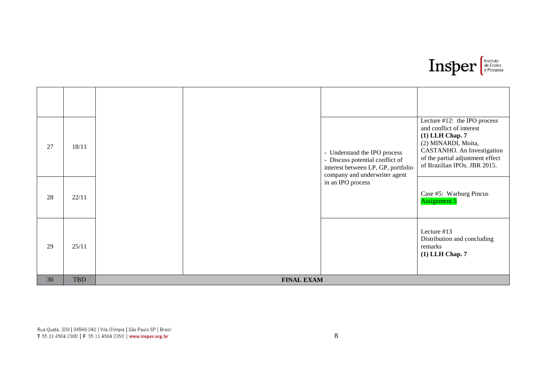

| 27 | 18/11      |                   | - Understand the IPO process<br>- Discuss potential conflict of<br>interest between LP, GP, portfolio<br>company and underwriter agent | Lecture #12: the IPO process<br>and conflict of interest<br>$(1)$ LLH Chap. $7$<br>(2) MINARDI, Moita,<br>CASTANHO. An Investigation<br>of the partial adjustment effect<br>of Brazilian IPOs. JBR 2015. |
|----|------------|-------------------|----------------------------------------------------------------------------------------------------------------------------------------|----------------------------------------------------------------------------------------------------------------------------------------------------------------------------------------------------------|
| 28 | 22/11      |                   | in an IPO process                                                                                                                      | Case #5: Warburg Pincus<br><b>Assignment 5</b>                                                                                                                                                           |
| 29 | 25/11      |                   |                                                                                                                                        | Lecture #13<br>Distribution and concluding<br>remarks<br>$(1)$ LLH Chap. $7$                                                                                                                             |
| 30 | <b>TBD</b> | <b>FINAL EXAM</b> |                                                                                                                                        |                                                                                                                                                                                                          |